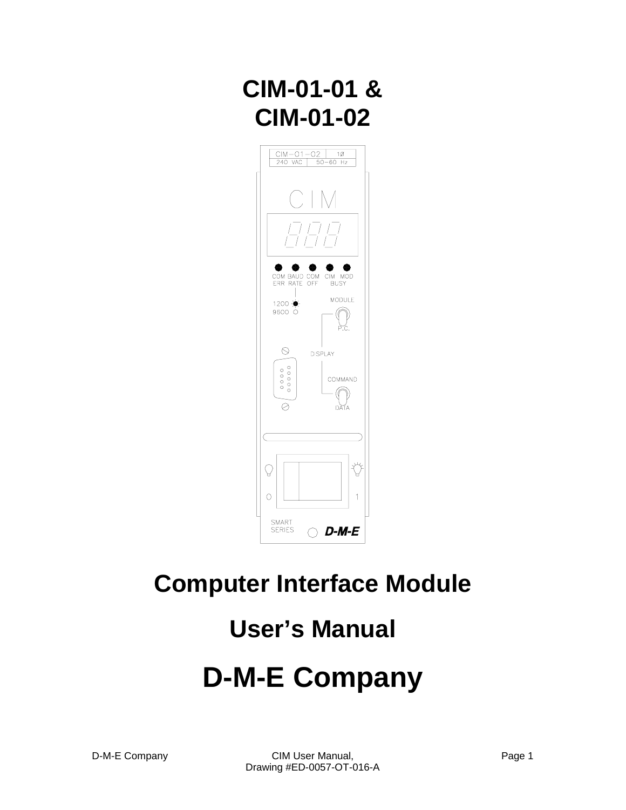# **CIM-01-01 & CIM-01-02**



## **Computer Interface Module**

# **User's Manual**

# **D-M-E Company**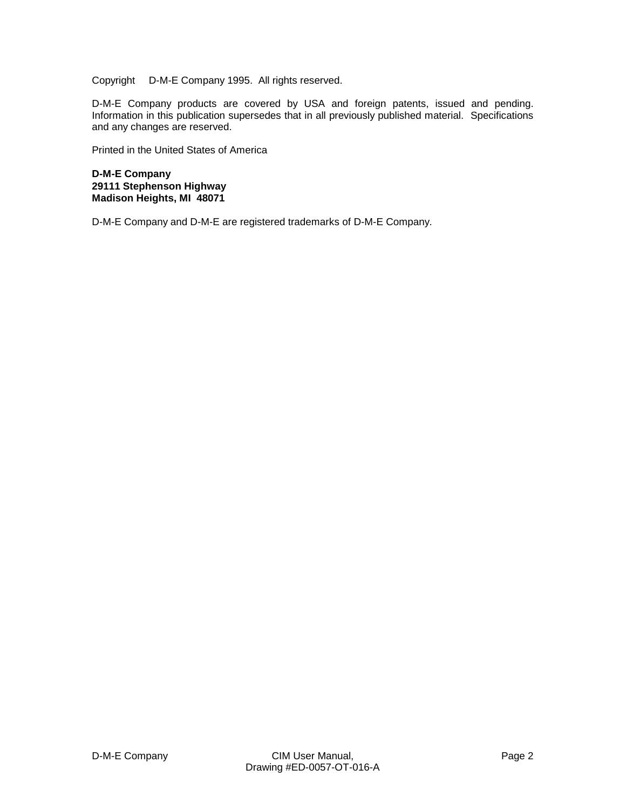Copyright © D-M-E Company 1995. All rights reserved.

D-M-E Company products are covered by USA and foreign patents, issued and pending. Information in this publication supersedes that in all previously published material. Specifications and any changes are reserved.

Printed in the United States of America

**D-M-E Company 29111 Stephenson Highway Madison Heights, MI 48071**

D-M-E Company and D-M-E are registered trademarks of D-M-E Company.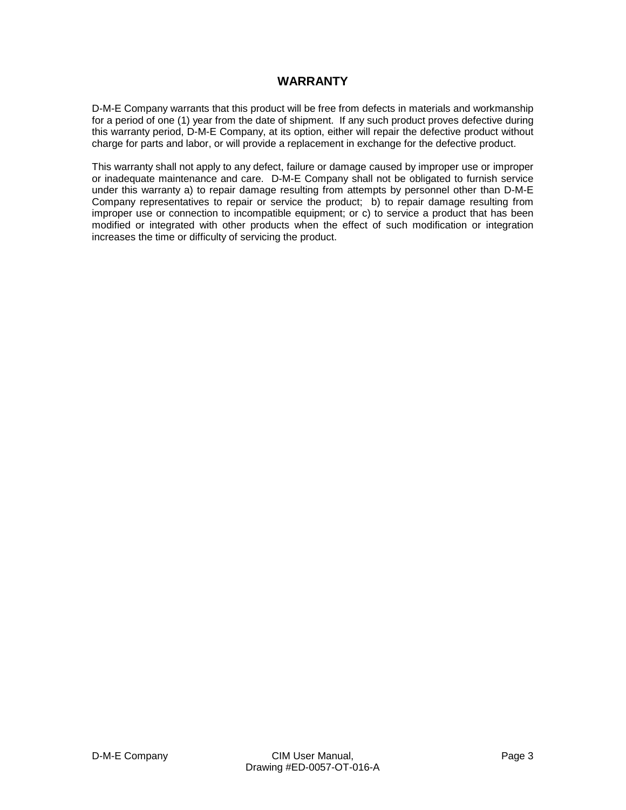## **WARRANTY**

D-M-E Company warrants that this product will be free from defects in materials and workmanship for a period of one (1) year from the date of shipment. If any such product proves defective during this warranty period, D-M-E Company, at its option, either will repair the defective product without charge for parts and labor, or will provide a replacement in exchange for the defective product.

This warranty shall not apply to any defect, failure or damage caused by improper use or improper or inadequate maintenance and care. D-M-E Company shall not be obligated to furnish service under this warranty a) to repair damage resulting from attempts by personnel other than D-M-E Company representatives to repair or service the product; b) to repair damage resulting from improper use or connection to incompatible equipment; or c) to service a product that has been modified or integrated with other products when the effect of such modification or integration increases the time or difficulty of servicing the product.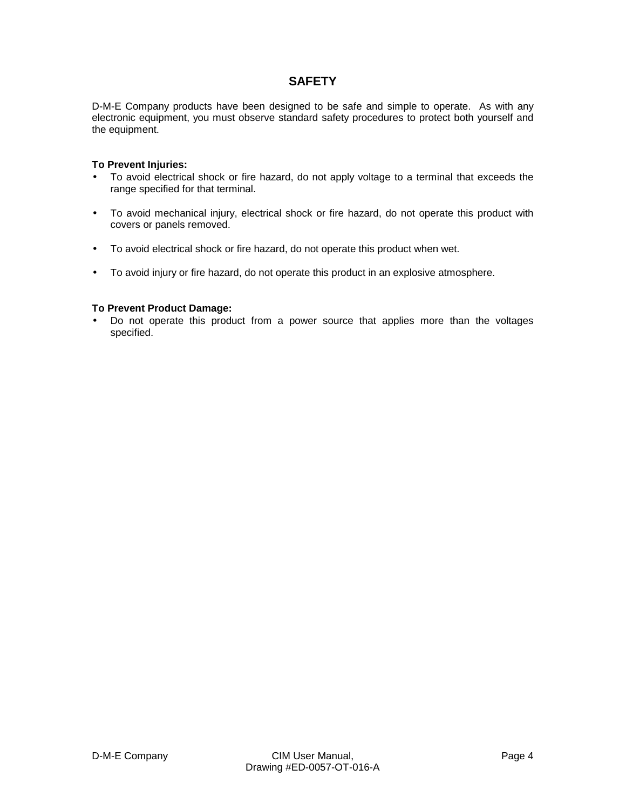## **SAFETY**

D-M-E Company products have been designed to be safe and simple to operate. As with any electronic equipment, you must observe standard safety procedures to protect both yourself and the equipment.

#### **To Prevent Injuries:**

- To avoid electrical shock or fire hazard, do not apply voltage to a terminal that exceeds the range specified for that terminal.
- To avoid mechanical injury, electrical shock or fire hazard, do not operate this product with covers or panels removed.
- To avoid electrical shock or fire hazard, do not operate this product when wet.
- To avoid injury or fire hazard, do not operate this product in an explosive atmosphere.

#### **To Prevent Product Damage:**

• Do not operate this product from a power source that applies more than the voltages specified.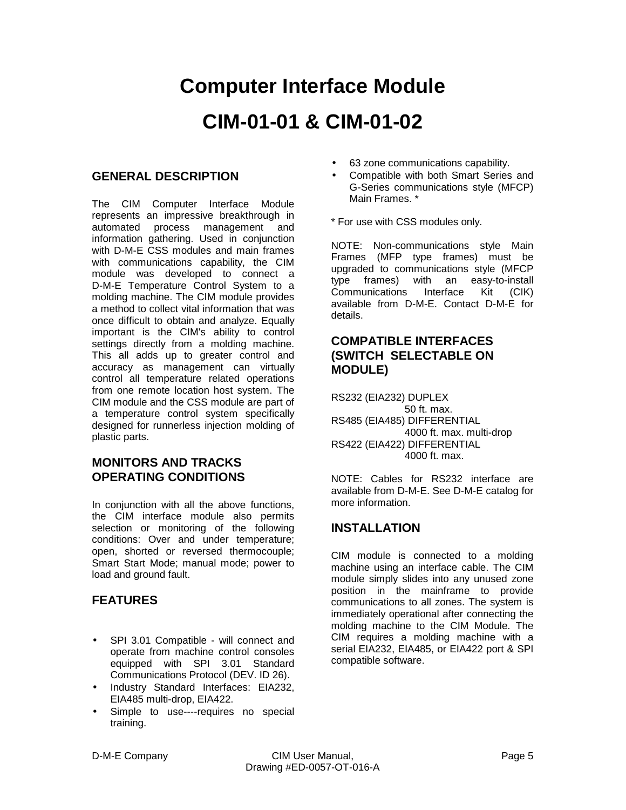# **Computer Interface Module CIM-01-01 & CIM-01-02**

## **GENERAL DESCRIPTION**

The CIM Computer Interface Module represents an impressive breakthrough in automated process management and information gathering. Used in conjunction with D-M-E CSS modules and main frames with communications capability, the CIM module was developed to connect a D-M-E Temperature Control System to a molding machine. The CIM module provides a method to collect vital information that was once difficult to obtain and analyze. Equally important is the CIM's ability to control settings directly from a molding machine. This all adds up to greater control and accuracy as management can virtually control all temperature related operations from one remote location host system. The CIM module and the CSS module are part of a temperature control system specifically designed for runnerless injection molding of plastic parts.

## **MONITORS AND TRACKS OPERATING CONDITIONS**

In conjunction with all the above functions, the CIM interface module also permits selection or monitoring of the following conditions: Over and under temperature; open, shorted or reversed thermocouple; Smart Start Mode; manual mode; power to load and ground fault.

## **FEATURES**

- SPI 3.01 Compatible will connect and operate from machine control consoles equipped with SPI 3.01 Standard Communications Protocol (DEV. ID 26).
- Industry Standard Interfaces: EIA232, EIA485 multi-drop, EIA422.
- Simple to use----requires no special training.
- 63 zone communications capability.
- Compatible with both Smart Series and G-Series communications style (MFCP) Main Frames. \*
- \* For use with CSS modules only.

NOTE: Non-communications style Main Frames (MFP type frames) must be upgraded to communications style (MFCP type frames) with an easy-to-install Communications Interface Kit (CIK) available from D-M-E. Contact D-M-E for details.

## **COMPATIBLE INTERFACES (SWITCH SELECTABLE ON MODULE)**

RS232 (EIA232) DUPLEX 50 ft. max. RS485 (EIA485) DIFFERENTIAL 4000 ft. max. multi-drop RS422 (EIA422) DIFFERENTIAL 4000 ft. max.

NOTE: Cables for RS232 interface are available from D-M-E. See D-M-E catalog for more information.

## **INSTALLATION**

CIM module is connected to a molding machine using an interface cable. The CIM module simply slides into any unused zone position in the mainframe to provide communications to all zones. The system is immediately operational after connecting the molding machine to the CIM Module. The CIM requires a molding machine with a serial EIA232, EIA485, or EIA422 port & SPI compatible software.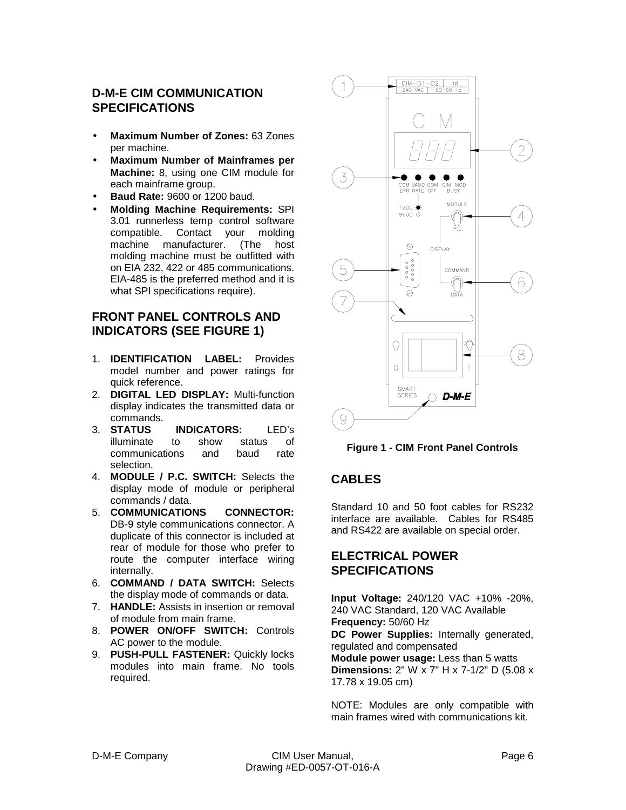## **D-M-E CIM COMMUNICATION SPECIFICATIONS**

- **Maximum Number of Zones:** 63 Zones per machine.
- **Maximum Number of Mainframes per Machine:** 8, using one CIM module for each mainframe group.
- **Baud Rate:** 9600 or 1200 baud.
- **Molding Machine Requirements:** SPI 3.01 runnerless temp control software compatible. Contact your molding<br>machine manufacturer. (The host machine manufacturer. (The host molding machine must be outfitted with on EIA 232, 422 or 485 communications. EIA-485 is the preferred method and it is what SPI specifications require).

## **FRONT PANEL CONTROLS AND INDICATORS (SEE FIGURE 1)**

- 1. **IDENTIFICATION LABEL:** Provides model number and power ratings for quick reference.
- 2. **DIGITAL LED DISPLAY:** Multi-function display indicates the transmitted data or commands.
- 3. **STATUS INDICATORS:** LED's illuminate to show status of communications and baud rate selection.
- 4. **MODULE / P.C. SWITCH:** Selects the display mode of module or peripheral commands / data.
- 5. **COMMUNICATIONS CONNECTOR:** DB-9 style communications connector. A duplicate of this connector is included at rear of module for those who prefer to route the computer interface wiring internally.
- 6. **COMMAND / DATA SWITCH:** Selects the display mode of commands or data.
- 7. **HANDLE:** Assists in insertion or removal of module from main frame.
- 8. **POWER ON/OFF SWITCH:** Controls AC power to the module.
- 9. **PUSH-PULL FASTENER:** Quickly locks modules into main frame. No tools required.



**Figure 1 - CIM Front Panel Controls**

## **CABLES**

Standard 10 and 50 foot cables for RS232 interface are available. Cables for RS485 and RS422 are available on special order.

## **ELECTRICAL POWER SPECIFICATIONS**

**Input Voltage:** 240/120 VAC +10% -20%, 240 VAC Standard, 120 VAC Available **Frequency:** 50/60 Hz

**DC Power Supplies:** Internally generated, regulated and compensated

**Module power usage:** Less than 5 watts **Dimensions:** 2" W x 7" H x 7-1/2" D (5.08 x 17.78 x 19.05 cm)

NOTE: Modules are only compatible with main frames wired with communications kit.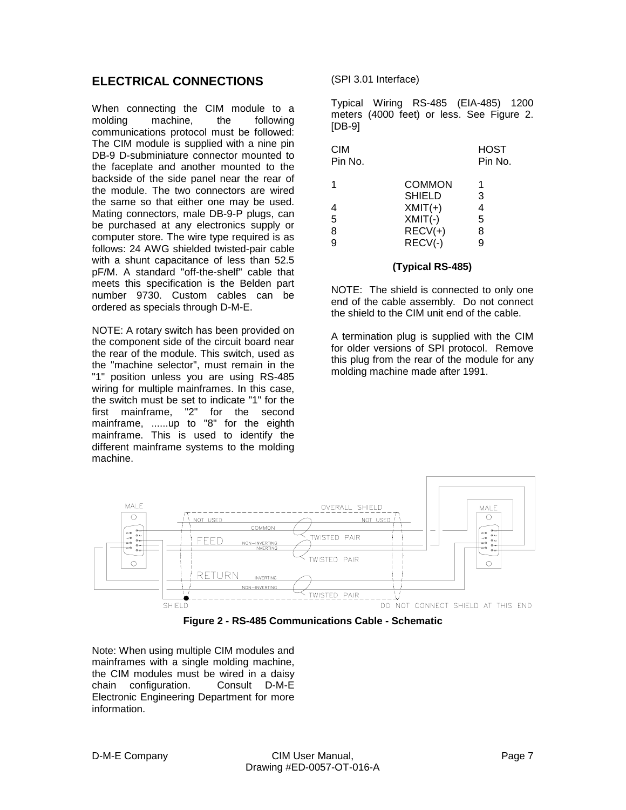## **ELECTRICAL CONNECTIONS**

When connecting the CIM module to a molding machine, the following communications protocol must be followed: The CIM module is supplied with a nine pin DB-9 D-subminiature connector mounted to the faceplate and another mounted to the backside of the side panel near the rear of the module. The two connectors are wired the same so that either one may be used. Mating connectors, male DB-9-P plugs, can be purchased at any electronics supply or computer store. The wire type required is as follows: 24 AWG shielded twisted-pair cable with a shunt capacitance of less than 52.5 pF/M. A standard "off-the-shelf" cable that meets this specification is the Belden part number 9730. Custom cables can be ordered as specials through D-M-E.

NOTE: A rotary switch has been provided on the component side of the circuit board near the rear of the module. This switch, used as the "machine selector", must remain in the "1" position unless you are using RS-485 wiring for multiple mainframes. In this case, the switch must be set to indicate "1" for the first mainframe, "2" for the second mainframe, ......up to "8" for the eighth mainframe. This is used to identify the different mainframe systems to the molding machine.

(SPI 3.01 Interface)

Typical Wiring RS-485 (EIA-485) 1200 meters (4000 feet) or less. See Figure 2. [DB-9]

| <b>CIM</b><br>Pin No. |               | <b>HOST</b><br>Pin No. |
|-----------------------|---------------|------------------------|
| 1                     | COMMON        | 1                      |
|                       | <b>SHIELD</b> | 3                      |
|                       | $XMLT(+)$     | 4                      |
| 5                     | $XMLT(-)$     | 5                      |
| 8                     | $RECV(+)$     | 8                      |
| g                     | $RECV(-)$     | g                      |
|                       |               |                        |

#### **(Typical RS-485)**

NOTE: The shield is connected to only one end of the cable assembly. Do not connect the shield to the CIM unit end of the cable.

A termination plug is supplied with the CIM for older versions of SPI protocol. Remove this plug from the rear of the module for any molding machine made after 1991.



**Figure 2 - RS-485 Communications Cable - Schematic**

Note: When using multiple CIM modules and mainframes with a single molding machine, the CIM modules must be wired in a daisy chain configuration. Consult D-M-E Electronic Engineering Department for more information.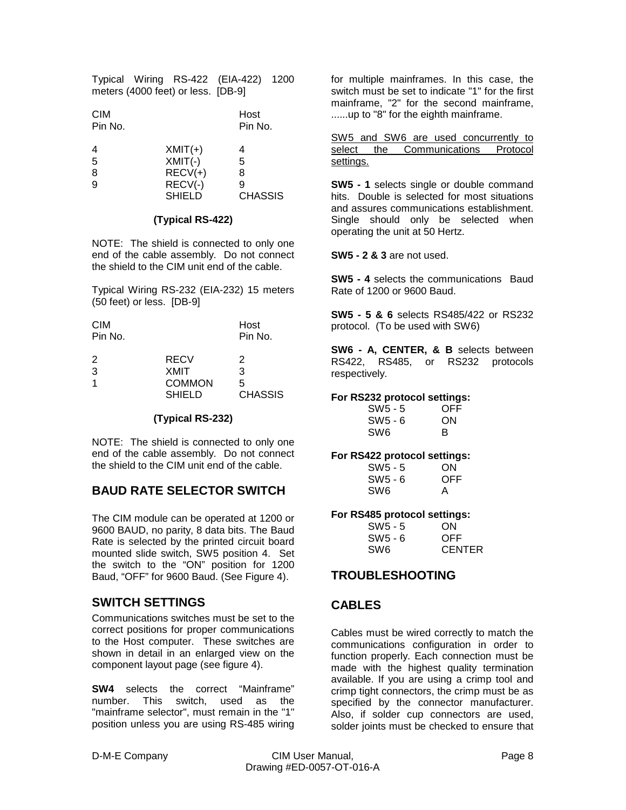Typical Wiring RS-422 (EIA-422) 1200 meters (4000 feet) or less. [DB-9]

| <b>CIM</b><br>Pin No. |           | Host<br>Pin No. |  |
|-----------------------|-----------|-----------------|--|
| 4                     | $XMLT(+)$ | 4               |  |
| $\overline{5}$        | $XMLT(-)$ | 5               |  |
| 8                     | $RECV(+)$ | 8               |  |
| 9                     | $RECV(-)$ | 9               |  |

SHIELD CHASSIS

#### **(Typical RS-422)**

NOTE: The shield is connected to only one end of the cable assembly. Do not connect the shield to the CIM unit end of the cable.

Typical Wiring RS-232 (EIA-232) 15 meters (50 feet) or less. [DB-9]

| <b>CIM</b> |               | Host           |
|------------|---------------|----------------|
| Pin No.    |               | Pin No.        |
|            |               |                |
| 2          | RECV          | 2              |
| 3          | <b>XMIT</b>   | 3              |
| 1          | <b>COMMON</b> | 5              |
|            | <b>SHIELD</b> | <b>CHASSIS</b> |

#### **(Typical RS-232)**

NOTE: The shield is connected to only one end of the cable assembly. Do not connect the shield to the CIM unit end of the cable.

## **BAUD RATE SELECTOR SWITCH**

The CIM module can be operated at 1200 or 9600 BAUD, no parity, 8 data bits. The Baud Rate is selected by the printed circuit board mounted slide switch, SW5 position 4. Set the switch to the "ON" position for 1200 Baud, "OFF" for 9600 Baud. (See Figure 4).

## **SWITCH SETTINGS**

Communications switches must be set to the correct positions for proper communications to the Host computer. These switches are shown in detail in an enlarged view on the component layout page (see figure 4).

**SW4** selects the correct "Mainframe" number. This switch, used as the "mainframe selector", must remain in the "1" position unless you are using RS-485 wiring for multiple mainframes. In this case, the switch must be set to indicate "1" for the first mainframe, "2" for the second mainframe, ......up to "8" for the eighth mainframe.

SW5 and SW6 are used concurrently to select the Communications Protocol settings.

**SW5 - 1** selects single or double command hits. Double is selected for most situations and assures communications establishment. Single should only be selected when operating the unit at 50 Hertz.

**SW5 - 2 & 3** are not used.

**SW5 - 4** selects the communications Baud Rate of 1200 or 9600 Baud.

**SW5 - 5 & 6** selects RS485/422 or RS232 protocol. (To be used with SW6)

**SW6 - A, CENTER, & B** selects between RS422, RS485, or RS232 protocols respectively.

#### **For RS232 protocol settings:**

| SW <sub>5</sub> - 5 | OFF |
|---------------------|-----|
| SW5 - 6             | ON  |
| SW <sub>6</sub>     | в   |

#### **For RS422 protocol settings:**

| SW5 - 5   | ON  |
|-----------|-----|
| $SW5 - 6$ | OFF |
| SW6       | A   |

#### **For RS485 protocol settings:**

| SW <sub>5</sub> - 5 | ON            |
|---------------------|---------------|
| SW5 - 6             | OFF           |
| SW6                 | <b>CENTER</b> |

#### **TROUBLESHOOTING**

#### **CABLES**

Cables must be wired correctly to match the communications configuration in order to function properly. Each connection must be made with the highest quality termination available. If you are using a crimp tool and crimp tight connectors, the crimp must be as specified by the connector manufacturer. Also, if solder cup connectors are used, solder joints must be checked to ensure that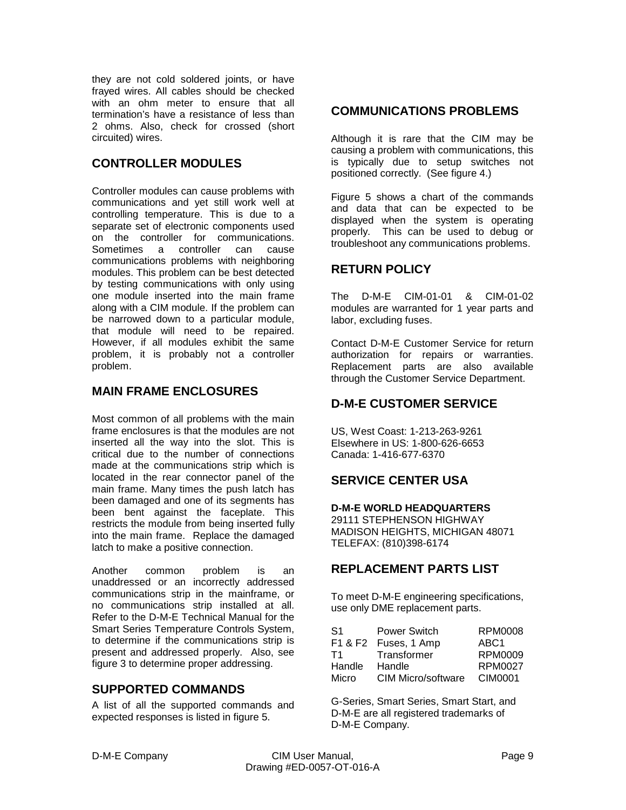they are not cold soldered joints, or have frayed wires. All cables should be checked with an ohm meter to ensure that all termination's have a resistance of less than 2 ohms. Also, check for crossed (short circuited) wires.

## **CONTROLLER MODULES**

Controller modules can cause problems with communications and yet still work well at controlling temperature. This is due to a separate set of electronic components used on the controller for communications. Sometimes a controller can cause communications problems with neighboring modules. This problem can be best detected by testing communications with only using one module inserted into the main frame along with a CIM module. If the problem can be narrowed down to a particular module, that module will need to be repaired. However, if all modules exhibit the same problem, it is probably not a controller problem.

## **MAIN FRAME ENCLOSURES**

Most common of all problems with the main frame enclosures is that the modules are not inserted all the way into the slot. This is critical due to the number of connections made at the communications strip which is located in the rear connector panel of the main frame. Many times the push latch has been damaged and one of its segments has been bent against the faceplate. This restricts the module from being inserted fully into the main frame. Replace the damaged latch to make a positive connection.

Another common problem is an unaddressed or an incorrectly addressed communications strip in the mainframe, or no communications strip installed at all. Refer to the D-M-E Technical Manual for the Smart Series Temperature Controls System, to determine if the communications strip is present and addressed properly. Also, see figure 3 to determine proper addressing.

#### **SUPPORTED COMMANDS**

A list of all the supported commands and expected responses is listed in figure 5.

## **COMMUNICATIONS PROBLEMS**

Although it is rare that the CIM may be causing a problem with communications, this is typically due to setup switches not positioned correctly. (See figure 4.)

Figure 5 shows a chart of the commands and data that can be expected to be displayed when the system is operating properly. This can be used to debug or troubleshoot any communications problems.

#### **RETURN POLICY**

The D-M-E CIM-01-01 & CIM-01-02 modules are warranted for 1 year parts and labor, excluding fuses.

Contact D-M-E Customer Service for return authorization for repairs or warranties. Replacement parts are also available through the Customer Service Department.

## **D-M-E CUSTOMER SERVICE**

US, West Coast: 1-213-263-9261 Elsewhere in US: 1-800-626-6653 Canada: 1-416-677-6370

## **SERVICE CENTER USA**

**D-M-E WORLD HEADQUARTERS**

29111 STEPHENSON HIGHWAY MADISON HEIGHTS, MICHIGAN 48071 TELEFAX: (810)398-6174

## **REPLACEMENT PARTS LIST**

To meet D-M-E engineering specifications, use only DME replacement parts.

| S1     | Power Switch         | RPM0008          |
|--------|----------------------|------------------|
|        | F1 & F2 Fuses, 1 Amp | ABC <sub>1</sub> |
| T1     | Transformer          | RPM0009          |
| Handle | Handle               | RPM0027          |
| Micro  | CIM Micro/software   | CIM0001          |

G-Series, Smart Series, Smart Start, and D-M-E are all registered trademarks of D-M-E Company.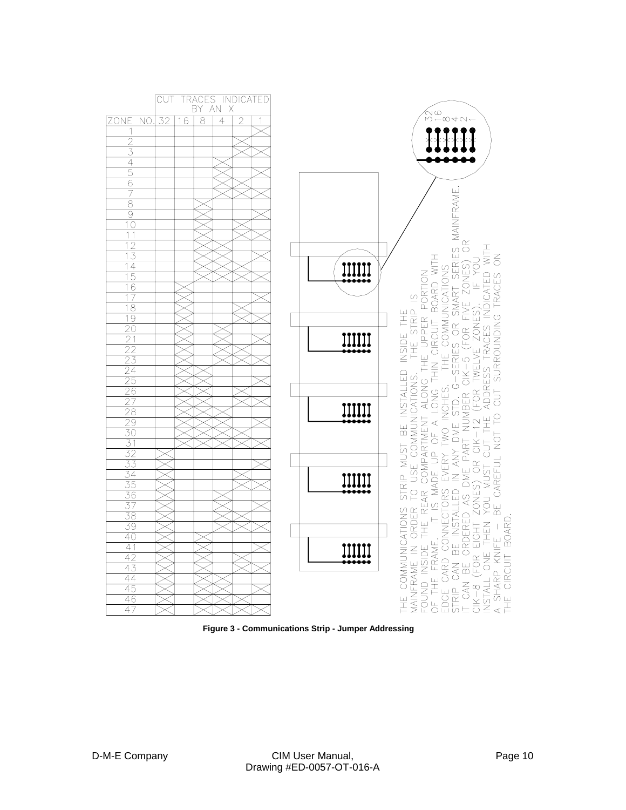

**Figure 3 - Communications Strip - Jumper Addressing**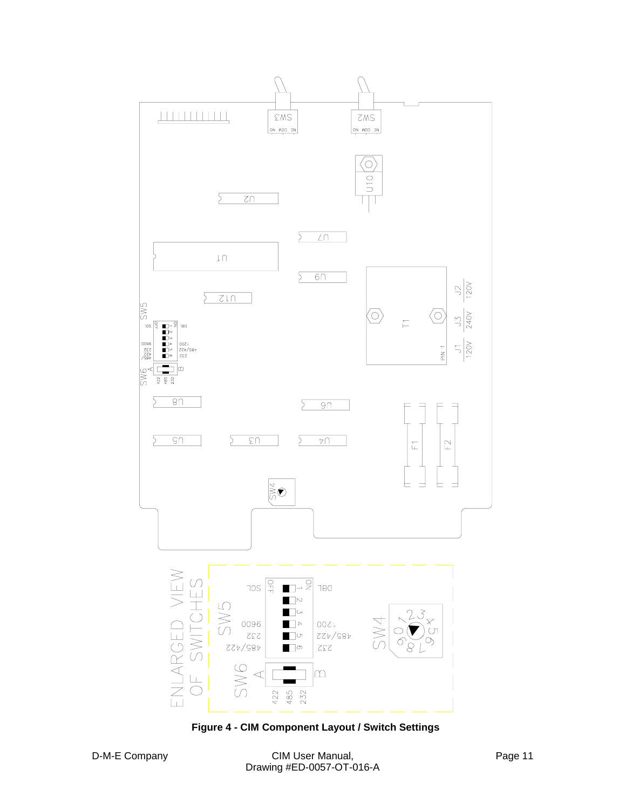

**Figure 4 - CIM Component Layout / Switch Settings**